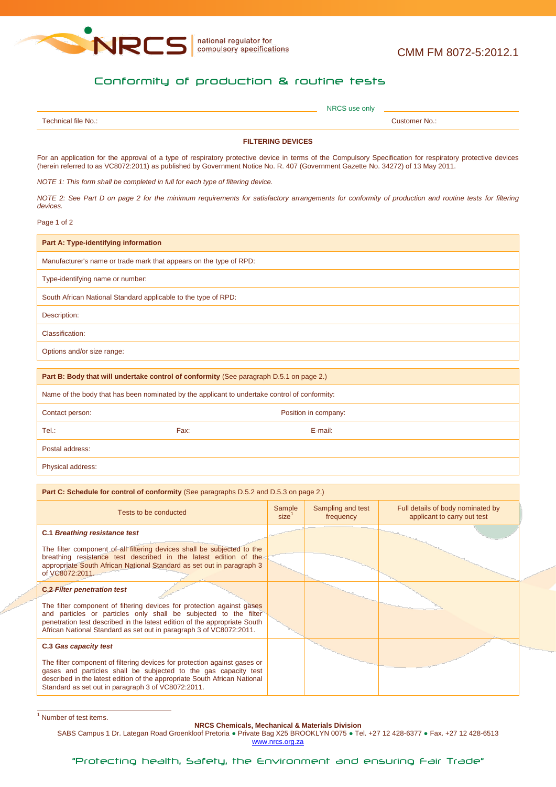

national regulator for<br>compulsory specifications

## Conformity of production & routine tests

| coppies<br><b>N<sub>IO</sub></b> |             |
|----------------------------------|-------------|
|                                  | <b>SUCK</b> |

## **FILTERING DEVICES**

For an application for the approval of a type of respiratory protective device in terms of the Compulsory Specification for respiratory protective devices (herein referred to as VC8072:2011) as published by Government Notice No. R. 407 (Government Gazette No. 34272) of 13 May 2011.

*NOTE 1: This form shall be completed in full for each type of filtering device.*

**Part C: Schedule for control of conformity** (See paragraphs D.5.2 and D.5.3 on page 2.)

*NOTE 2: See Part D on page 2 for the minimum requirements for satisfactory arrangements for conformity of production and routine tests for filtering devices.*

Page 1 of 2

**Part B: Body that will undertake control of conformity** (See paragraph D.5.1 on page 2.) Name of the body that has been nominated by the applicant to undertake control of conformity: Contact person: Position in company: Position in company: Tel.: Fax: E-mail: Postal address: Physical address:

| <b>Part G: Schedule for control of conformity</b> (See paragraphs D.5.2 and D.5.3 on page Z.)                                                                                                                                                                                                  |                             |                                |                                                                  |  |
|------------------------------------------------------------------------------------------------------------------------------------------------------------------------------------------------------------------------------------------------------------------------------------------------|-----------------------------|--------------------------------|------------------------------------------------------------------|--|
| Tests to be conducted                                                                                                                                                                                                                                                                          | Sample<br>size <sup>1</sup> | Sampling and test<br>frequency | Full details of body nominated by<br>applicant to carry out test |  |
| <b>C.1 Breathing resistance test</b>                                                                                                                                                                                                                                                           |                             |                                |                                                                  |  |
| The filter component of all filtering devices shall be subjected to the<br>breathing resistance test described in the latest edition of the<br>appropriate South African National Standard as set out in paragraph 3<br>of VC8072:2011.                                                        |                             |                                |                                                                  |  |
| <b>C.2 Filter penetration test</b>                                                                                                                                                                                                                                                             |                             |                                |                                                                  |  |
| The filter component of filtering devices for protection against gases<br>and particles or particles only shall be subjected to the filter<br>penetration test described in the latest edition of the appropriate South<br>African National Standard as set out in paragraph 3 of VC8072:2011. |                             |                                |                                                                  |  |
| C.3 Gas capacity test                                                                                                                                                                                                                                                                          |                             |                                |                                                                  |  |
| The filter component of filtering devices for protection against gases or<br>gases and particles shall be subjected to the gas capacity test<br>described in the latest edition of the appropriate South African National<br>Standard as set out in paragraph 3 of VC8072:2011.                |                             |                                |                                                                  |  |

**NRCS Chemicals, Mechanical & Materials Division**

SABS Campus 1 Dr. Lategan Road Groenkloof Pretoria ● Private Bag X25 BROOKLYN 0075 ● Tel. +27 12 428-6377 ● Fax. +27 12 428-6513 www.nrcs.org.za

 $\frac{1}{1}$  Number of test items.